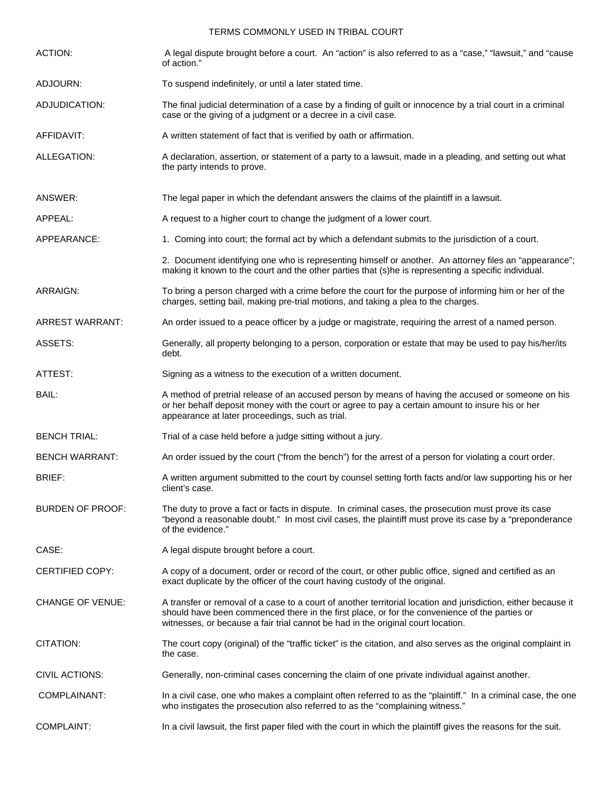## TERMS COMMONLY USED IN TRIBAL COURT

| <b>ACTION:</b>          | A legal dispute brought before a court. An "action" is also referred to as a "case," "lawsuit," and "cause<br>of action."                                                                                                                                                                           |
|-------------------------|-----------------------------------------------------------------------------------------------------------------------------------------------------------------------------------------------------------------------------------------------------------------------------------------------------|
| ADJOURN:                | To suspend indefinitely, or until a later stated time.                                                                                                                                                                                                                                              |
| ADJUDICATION:           | The final judicial determination of a case by a finding of guilt or innocence by a trial court in a criminal<br>case or the giving of a judgment or a decree in a civil case.                                                                                                                       |
| AFFIDAVIT:              | A written statement of fact that is verified by oath or affirmation.                                                                                                                                                                                                                                |
| ALLEGATION:             | A declaration, assertion, or statement of a party to a lawsuit, made in a pleading, and setting out what<br>the party intends to prove.                                                                                                                                                             |
| ANSWER:                 | The legal paper in which the defendant answers the claims of the plaintiff in a lawsuit.                                                                                                                                                                                                            |
| APPEAL:                 | A request to a higher court to change the judgment of a lower court.                                                                                                                                                                                                                                |
| APPEARANCE:             | 1. Coming into court; the formal act by which a defendant submits to the jurisdiction of a court.                                                                                                                                                                                                   |
|                         | 2. Document identifying one who is representing himself or another. An attorney files an "appearance";<br>making it known to the court and the other parties that (s)he is representing a specific individual.                                                                                      |
| ARRAIGN:                | To bring a person charged with a crime before the court for the purpose of informing him or her of the<br>charges, setting bail, making pre-trial motions, and taking a plea to the charges.                                                                                                        |
| <b>ARREST WARRANT:</b>  | An order issued to a peace officer by a judge or magistrate, requiring the arrest of a named person.                                                                                                                                                                                                |
| ASSETS:                 | Generally, all property belonging to a person, corporation or estate that may be used to pay his/her/its<br>debt.                                                                                                                                                                                   |
| ATTEST:                 | Signing as a witness to the execution of a written document.                                                                                                                                                                                                                                        |
| BAIL:                   | A method of pretrial release of an accused person by means of having the accused or someone on his<br>or her behalf deposit money with the court or agree to pay a certain amount to insure his or her<br>appearance at later proceedings, such as trial.                                           |
| <b>BENCH TRIAL:</b>     | Trial of a case held before a judge sitting without a jury.                                                                                                                                                                                                                                         |
| <b>BENCH WARRANT:</b>   | An order issued by the court ("from the bench") for the arrest of a person for violating a court order.                                                                                                                                                                                             |
| <b>BRIEF:</b>           | A written argument submitted to the court by counsel setting forth facts and/or law supporting his or her<br>client's case.                                                                                                                                                                         |
| <b>BURDEN OF PROOF:</b> | The duty to prove a fact or facts in dispute. In criminal cases, the prosecution must prove its case<br>"beyond a reasonable doubt." In most civil cases, the plaintiff must prove its case by a "preponderance<br>of the evidence."                                                                |
| CASE:                   | A legal dispute brought before a court.                                                                                                                                                                                                                                                             |
| <b>CERTIFIED COPY:</b>  | A copy of a document, order or record of the court, or other public office, signed and certified as an<br>exact duplicate by the officer of the court having custody of the original.                                                                                                               |
| <b>CHANGE OF VENUE:</b> | A transfer or removal of a case to a court of another territorial location and jurisdiction, either because it<br>should have been commenced there in the first place, or for the convenience of the parties or<br>witnesses, or because a fair trial cannot be had in the original court location. |
| CITATION:               | The court copy (original) of the "traffic ticket" is the citation, and also serves as the original complaint in<br>the case.                                                                                                                                                                        |
| CIVIL ACTIONS:          | Generally, non-criminal cases concerning the claim of one private individual against another.                                                                                                                                                                                                       |
| COMPLAINANT:            | In a civil case, one who makes a complaint often referred to as the "plaintiff." In a criminal case, the one<br>who instigates the prosecution also referred to as the "complaining witness."                                                                                                       |
| <b>COMPLAINT:</b>       | In a civil lawsuit, the first paper filed with the court in which the plaintiff gives the reasons for the suit.                                                                                                                                                                                     |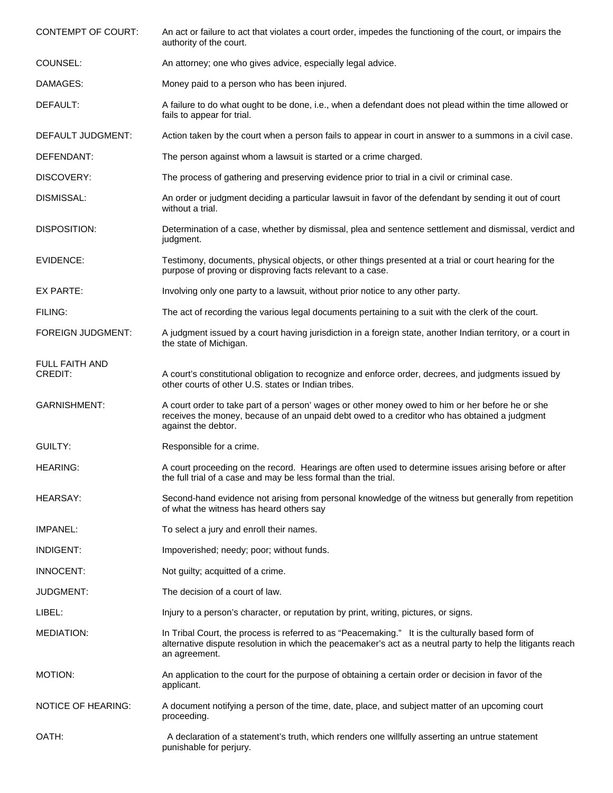| <b>CONTEMPT OF COURT:</b> | An act or failure to act that violates a court order, impedes the functioning of the court, or impairs the<br>authority of the court.                                                                                            |
|---------------------------|----------------------------------------------------------------------------------------------------------------------------------------------------------------------------------------------------------------------------------|
| COUNSEL:                  | An attorney; one who gives advice, especially legal advice.                                                                                                                                                                      |
| DAMAGES:                  | Money paid to a person who has been injured.                                                                                                                                                                                     |
| DEFAULT:                  | A failure to do what ought to be done, i.e., when a defendant does not plead within the time allowed or<br>fails to appear for trial.                                                                                            |
| DEFAULT JUDGMENT:         | Action taken by the court when a person fails to appear in court in answer to a summons in a civil case.                                                                                                                         |
| DEFENDANT:                | The person against whom a lawsuit is started or a crime charged.                                                                                                                                                                 |
| DISCOVERY:                | The process of gathering and preserving evidence prior to trial in a civil or criminal case.                                                                                                                                     |
| DISMISSAL:                | An order or judgment deciding a particular lawsuit in favor of the defendant by sending it out of court<br>without a trial.                                                                                                      |
| DISPOSITION:              | Determination of a case, whether by dismissal, plea and sentence settlement and dismissal, verdict and<br>judgment.                                                                                                              |
| EVIDENCE:                 | Testimony, documents, physical objects, or other things presented at a trial or court hearing for the<br>purpose of proving or disproving facts relevant to a case.                                                              |
| EX PARTE:                 | Involving only one party to a lawsuit, without prior notice to any other party.                                                                                                                                                  |
| FILING:                   | The act of recording the various legal documents pertaining to a suit with the clerk of the court.                                                                                                                               |
| <b>FOREIGN JUDGMENT:</b>  | A judgment issued by a court having jurisdiction in a foreign state, another Indian territory, or a court in<br>the state of Michigan.                                                                                           |
| FULL FAITH AND<br>CREDIT: | A court's constitutional obligation to recognize and enforce order, decrees, and judgments issued by<br>other courts of other U.S. states or Indian tribes.                                                                      |
| <b>GARNISHMENT:</b>       | A court order to take part of a person' wages or other money owed to him or her before he or she<br>receives the money, because of an unpaid debt owed to a creditor who has obtained a judgment<br>against the debtor.          |
| GUILTY:                   | Responsible for a crime.                                                                                                                                                                                                         |
| <b>HEARING:</b>           | A court proceeding on the record. Hearings are often used to determine issues arising before or after<br>the full trial of a case and may be less formal than the trial.                                                         |
| <b>HEARSAY:</b>           | Second-hand evidence not arising from personal knowledge of the witness but generally from repetition<br>of what the witness has heard others say                                                                                |
| IMPANEL:                  | To select a jury and enroll their names.                                                                                                                                                                                         |
| INDIGENT:                 | Impoverished; needy; poor; without funds.                                                                                                                                                                                        |
| <b>INNOCENT:</b>          | Not guilty; acquitted of a crime.                                                                                                                                                                                                |
| JUDGMENT:                 | The decision of a court of law.                                                                                                                                                                                                  |
| LIBEL:                    | Injury to a person's character, or reputation by print, writing, pictures, or signs.                                                                                                                                             |
| <b>MEDIATION:</b>         | In Tribal Court, the process is referred to as "Peacemaking." It is the culturally based form of<br>alternative dispute resolution in which the peacemaker's act as a neutral party to help the litigants reach<br>an agreement. |
| <b>MOTION:</b>            | An application to the court for the purpose of obtaining a certain order or decision in favor of the<br>applicant.                                                                                                               |
| <b>NOTICE OF HEARING:</b> | A document notifying a person of the time, date, place, and subject matter of an upcoming court<br>proceeding.                                                                                                                   |
| OATH:                     | A declaration of a statement's truth, which renders one willfully asserting an untrue statement<br>punishable for perjury.                                                                                                       |